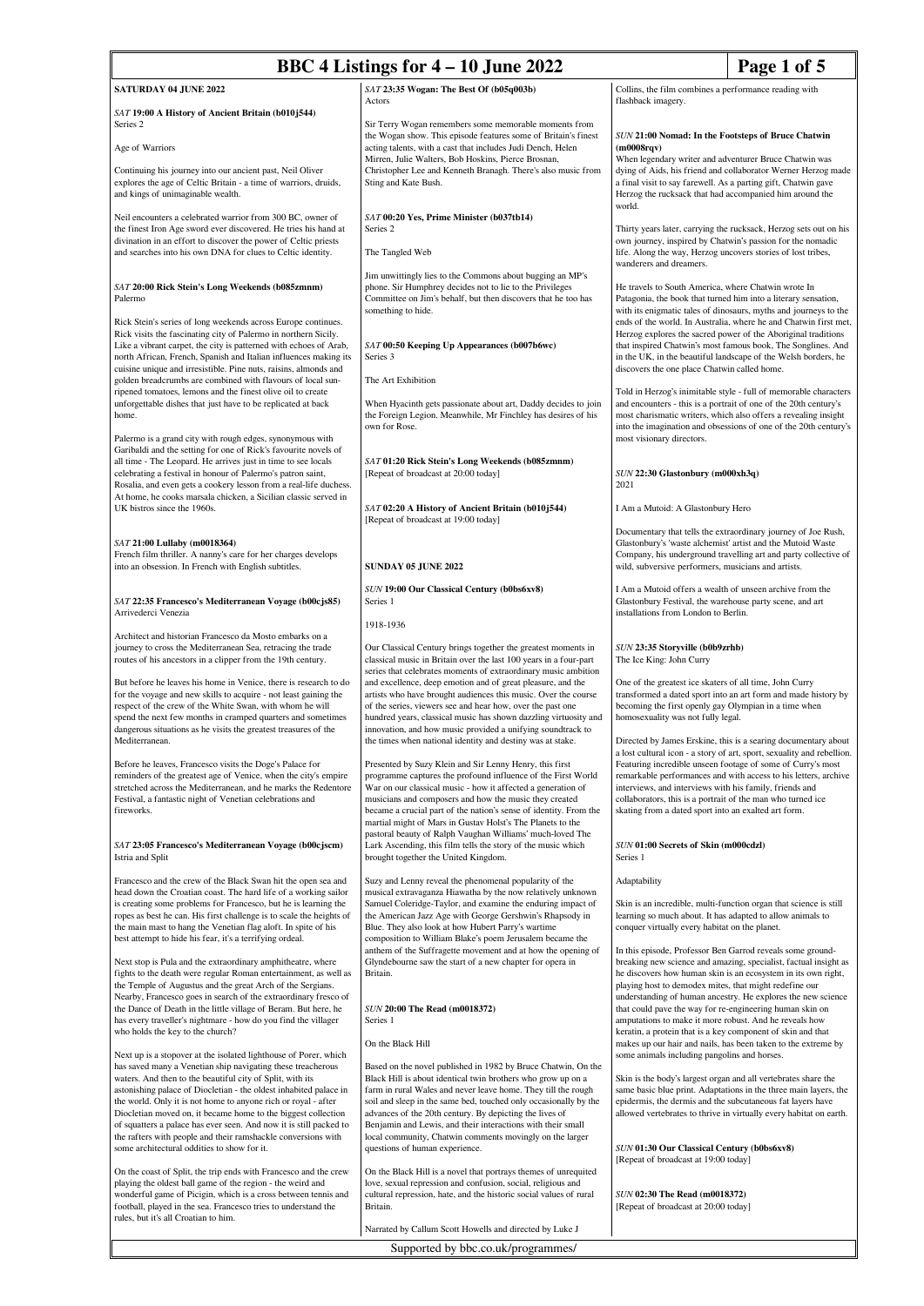| BBC 4 Listings for $4 - 10$ June 2022                                                                                                                                                                                                                                                                                                                                                                                                                                                                                  | Page 1 of 5                                                                                                                                                                                                                                                                                                                                                                                                                                                                                |                                                                                                                                                                                                                                                                                                                                                                                            |  |
|------------------------------------------------------------------------------------------------------------------------------------------------------------------------------------------------------------------------------------------------------------------------------------------------------------------------------------------------------------------------------------------------------------------------------------------------------------------------------------------------------------------------|--------------------------------------------------------------------------------------------------------------------------------------------------------------------------------------------------------------------------------------------------------------------------------------------------------------------------------------------------------------------------------------------------------------------------------------------------------------------------------------------|--------------------------------------------------------------------------------------------------------------------------------------------------------------------------------------------------------------------------------------------------------------------------------------------------------------------------------------------------------------------------------------------|--|
| <b>SATURDAY 04 JUNE 2022</b>                                                                                                                                                                                                                                                                                                                                                                                                                                                                                           | SAT 23:35 Wogan: The Best Of (b05q003b)<br>Actors                                                                                                                                                                                                                                                                                                                                                                                                                                          | Collins, the film combines a performance reading with                                                                                                                                                                                                                                                                                                                                      |  |
| SAT 19:00 A History of Ancient Britain (b010j544)<br>Series <sub>2</sub>                                                                                                                                                                                                                                                                                                                                                                                                                                               | Sir Terry Wogan remembers some memorable moments from                                                                                                                                                                                                                                                                                                                                                                                                                                      | flashback imagery.                                                                                                                                                                                                                                                                                                                                                                         |  |
| Age of Warriors                                                                                                                                                                                                                                                                                                                                                                                                                                                                                                        | the Wogan show. This episode features some of Britain's finest<br>acting talents, with a cast that includes Judi Dench, Helen                                                                                                                                                                                                                                                                                                                                                              | SUN 21:00 Nomad: In the Footsteps of Bruce Chatwin<br>$(m0008\text{rqv})$                                                                                                                                                                                                                                                                                                                  |  |
| Continuing his journey into our ancient past, Neil Oliver<br>explores the age of Celtic Britain - a time of warriors, druids,<br>and kings of unimaginable wealth.                                                                                                                                                                                                                                                                                                                                                     | Mirren, Julie Walters, Bob Hoskins, Pierce Brosnan,<br>Christopher Lee and Kenneth Branagh. There's also music from<br>Sting and Kate Bush.                                                                                                                                                                                                                                                                                                                                                | When legendary writer and adventurer Bruce Chatwin was<br>dying of Aids, his friend and collaborator Werner Herzog made<br>a final visit to say farewell. As a parting gift, Chatwin gave<br>Herzog the rucksack that had accompanied him around the<br>world.                                                                                                                             |  |
| Neil encounters a celebrated warrior from 300 BC, owner of<br>the finest Iron Age sword ever discovered. He tries his hand at<br>divination in an effort to discover the power of Celtic priests                                                                                                                                                                                                                                                                                                                       | SAT 00:20 Yes, Prime Minister (b037tb14)<br>Series <sub>2</sub>                                                                                                                                                                                                                                                                                                                                                                                                                            | Thirty years later, carrying the rucksack, Herzog sets out on his<br>own journey, inspired by Chatwin's passion for the nomadic<br>life. Along the way, Herzog uncovers stories of lost tribes,<br>wanderers and dreamers.                                                                                                                                                                 |  |
| and searches into his own DNA for clues to Celtic identity.                                                                                                                                                                                                                                                                                                                                                                                                                                                            | The Tangled Web                                                                                                                                                                                                                                                                                                                                                                                                                                                                            |                                                                                                                                                                                                                                                                                                                                                                                            |  |
| SAT 20:00 Rick Stein's Long Weekends (b085zmnm)<br>Palermo<br>Rick Stein's series of long weekends across Europe continues.                                                                                                                                                                                                                                                                                                                                                                                            | Jim unwittingly lies to the Commons about bugging an MP's<br>phone. Sir Humphrey decides not to lie to the Privileges<br>Committee on Jim's behalf, but then discovers that he too has<br>something to hide.                                                                                                                                                                                                                                                                               | He travels to South America, where Chatwin wrote In<br>Patagonia, the book that turned him into a literary sensation,<br>with its enigmatic tales of dinosaurs, myths and journeys to the<br>ends of the world. In Australia, where he and Chatwin first met,                                                                                                                              |  |
| Rick visits the fascinating city of Palermo in northern Sicily.<br>Like a vibrant carpet, the city is patterned with echoes of Arab,<br>north African, French, Spanish and Italian influences making its<br>cuisine unique and irresistible. Pine nuts, raisins, almonds and                                                                                                                                                                                                                                           | SAT 00:50 Keeping Up Appearances (b007b6wc)<br>Series 3                                                                                                                                                                                                                                                                                                                                                                                                                                    | Herzog explores the sacred power of the Aboriginal traditions<br>that inspired Chatwin's most famous book, The Songlines. And<br>in the UK, in the beautiful landscape of the Welsh borders, he<br>discovers the one place Chatwin called home.                                                                                                                                            |  |
| golden breadcrumbs are combined with flavours of local sun-<br>ripened tomatoes, lemons and the finest olive oil to create<br>unforgettable dishes that just have to be replicated at back<br>home.                                                                                                                                                                                                                                                                                                                    | The Art Exhibition<br>When Hyacinth gets passionate about art, Daddy decides to join<br>the Foreign Legion. Meanwhile, Mr Finchley has desires of his<br>own for Rose.                                                                                                                                                                                                                                                                                                                     | Told in Herzog's inimitable style - full of memorable characters<br>and encounters - this is a portrait of one of the 20th century's<br>most charismatic writers, which also offers a revealing insight<br>into the imagination and obsessions of one of the 20th century's                                                                                                                |  |
| Palermo is a grand city with rough edges, synonymous with<br>Garibaldi and the setting for one of Rick's favourite novels of<br>all time - The Leopard. He arrives just in time to see locals                                                                                                                                                                                                                                                                                                                          | SAT 01:20 Rick Stein's Long Weekends (b085zmnm)                                                                                                                                                                                                                                                                                                                                                                                                                                            | most visionary directors.                                                                                                                                                                                                                                                                                                                                                                  |  |
| celebrating a festival in honour of Palermo's patron saint,<br>Rosalia, and even gets a cookery lesson from a real-life duchess.<br>At home, he cooks marsala chicken, a Sicilian classic served in                                                                                                                                                                                                                                                                                                                    | [Repeat of broadcast at 20:00 today]                                                                                                                                                                                                                                                                                                                                                                                                                                                       | SUN 22:30 Glastonbury (m000xh3q)<br>2021                                                                                                                                                                                                                                                                                                                                                   |  |
| UK bistros since the 1960s.                                                                                                                                                                                                                                                                                                                                                                                                                                                                                            | SAT 02:20 A History of Ancient Britain (b010j544)<br>[Repeat of broadcast at 19:00 today]                                                                                                                                                                                                                                                                                                                                                                                                  | I Am a Mutoid: A Glastonbury Hero<br>Documentary that tells the extraordinary journey of Joe Rush,                                                                                                                                                                                                                                                                                         |  |
| SAT 21:00 Lullaby (m0018364)<br>French film thriller. A nanny's care for her charges develops<br>into an obsession. In French with English subtitles.                                                                                                                                                                                                                                                                                                                                                                  | <b>SUNDAY 05 JUNE 2022</b>                                                                                                                                                                                                                                                                                                                                                                                                                                                                 | Glastonbury's 'waste alchemist' artist and the Mutoid Waste<br>Company, his underground travelling art and party collective of<br>wild, subversive performers, musicians and artists.                                                                                                                                                                                                      |  |
| SAT 22:35 Francesco's Mediterranean Voyage (b00cjs85)<br>Arrivederci Venezia                                                                                                                                                                                                                                                                                                                                                                                                                                           | SUN 19:00 Our Classical Century (b0bs6xv8)<br>Series 1                                                                                                                                                                                                                                                                                                                                                                                                                                     | I Am a Mutoid offers a wealth of unseen archive from the<br>Glastonbury Festival, the warehouse party scene, and art<br>installations from London to Berlin.                                                                                                                                                                                                                               |  |
| Architect and historian Francesco da Mosto embarks on a                                                                                                                                                                                                                                                                                                                                                                                                                                                                | 1918-1936                                                                                                                                                                                                                                                                                                                                                                                                                                                                                  |                                                                                                                                                                                                                                                                                                                                                                                            |  |
| journey to cross the Mediterranean Sea, retracing the trade<br>routes of his ancestors in a clipper from the 19th century.                                                                                                                                                                                                                                                                                                                                                                                             | Our Classical Century brings together the greatest moments in<br>classical music in Britain over the last 100 years in a four-part<br>series that celebrates moments of extraordinary music ambition                                                                                                                                                                                                                                                                                       | SUN 23:35 Storyville (b0b9zrhb)<br>The Ice King: John Curry                                                                                                                                                                                                                                                                                                                                |  |
| But before he leaves his home in Venice, there is research to do<br>for the voyage and new skills to acquire - not least gaining the<br>respect of the crew of the White Swan, with whom he will<br>spend the next few months in cramped quarters and sometimes                                                                                                                                                                                                                                                        | and excellence, deep emotion and of great pleasure, and the<br>artists who have brought audiences this music. Over the course<br>of the series, viewers see and hear how, over the past one<br>hundred years, classical music has shown dazzling virtuosity and                                                                                                                                                                                                                            | One of the greatest ice skaters of all time, John Curry<br>transformed a dated sport into an art form and made history by<br>becoming the first openly gay Olympian in a time when<br>homosexuality was not fully legal.                                                                                                                                                                   |  |
| dangerous situations as he visits the greatest treasures of the<br>Mediterranean.                                                                                                                                                                                                                                                                                                                                                                                                                                      | innovation, and how music provided a unifying soundtrack to<br>the times when national identity and destiny was at stake.                                                                                                                                                                                                                                                                                                                                                                  | Directed by James Erskine, this is a searing documentary about                                                                                                                                                                                                                                                                                                                             |  |
| Before he leaves, Francesco visits the Doge's Palace for<br>reminders of the greatest age of Venice, when the city's empire<br>stretched across the Mediterranean, and he marks the Redentore<br>Festival, a fantastic night of Venetian celebrations and<br>fireworks.                                                                                                                                                                                                                                                | Presented by Suzy Klein and Sir Lenny Henry, this first<br>programme captures the profound influence of the First World<br>War on our classical music - how it affected a generation of<br>musicians and composers and how the music they created<br>became a crucial part of the nation's sense of identity. From the<br>martial might of Mars in Gustav Holst's The Planets to the                                                                                                       | a lost cultural icon - a story of art, sport, sexuality and rebellion.<br>Featuring incredible unseen footage of some of Curry's most<br>remarkable performances and with access to his letters, archive<br>interviews, and interviews with his family, friends and<br>collaborators, this is a portrait of the man who turned ice<br>skating from a dated sport into an exalted art form. |  |
| SAT 23:05 Francesco's Mediterranean Voyage (b00cjscm)<br>Istria and Split                                                                                                                                                                                                                                                                                                                                                                                                                                              | pastoral beauty of Ralph Vaughan Williams' much-loved The<br>Lark Ascending, this film tells the story of the music which<br>brought together the United Kingdom.                                                                                                                                                                                                                                                                                                                          | SUN 01:00 Secrets of Skin (m000cdzl)<br>Series 1                                                                                                                                                                                                                                                                                                                                           |  |
| Francesco and the crew of the Black Swan hit the open sea and<br>head down the Croatian coast. The hard life of a working sailor                                                                                                                                                                                                                                                                                                                                                                                       | Suzy and Lenny reveal the phenomenal popularity of the<br>musical extravaganza Hiawatha by the now relatively unknown                                                                                                                                                                                                                                                                                                                                                                      | Adaptability                                                                                                                                                                                                                                                                                                                                                                               |  |
| is creating some problems for Francesco, but he is learning the<br>ropes as best he can. His first challenge is to scale the heights of<br>the main mast to hang the Venetian flag aloft. In spite of his<br>best attempt to hide his fear, it's a terrifying ordeal.                                                                                                                                                                                                                                                  | Samuel Coleridge-Taylor, and examine the enduring impact of<br>the American Jazz Age with George Gershwin's Rhapsody in<br>Blue. They also look at how Hubert Parry's wartime<br>composition to William Blake's poem Jerusalem became the                                                                                                                                                                                                                                                  | Skin is an incredible, multi-function organ that science is still<br>learning so much about. It has adapted to allow animals to<br>conquer virtually every habitat on the planet.                                                                                                                                                                                                          |  |
| Next stop is Pula and the extraordinary amphitheatre, where<br>fights to the death were regular Roman entertainment, as well as                                                                                                                                                                                                                                                                                                                                                                                        | anthem of the Suffragette movement and at how the opening of<br>Glyndebourne saw the start of a new chapter for opera in<br>Britain.                                                                                                                                                                                                                                                                                                                                                       | In this episode, Professor Ben Garrod reveals some ground-<br>breaking new science and amazing, specialist, factual insight as<br>he discovers how human skin is an ecosystem in its own right,                                                                                                                                                                                            |  |
| the Temple of Augustus and the great Arch of the Sergians.<br>Nearby, Francesco goes in search of the extraordinary fresco of<br>the Dance of Death in the little village of Beram. But here, he<br>has every traveller's nightmare - how do you find the villager                                                                                                                                                                                                                                                     | SUN 20:00 The Read (m0018372)<br>Series 1                                                                                                                                                                                                                                                                                                                                                                                                                                                  | playing host to demodex mites, that might redefine our<br>understanding of human ancestry. He explores the new science<br>that could pave the way for re-engineering human skin on<br>amputations to make it more robust. And he reveals how                                                                                                                                               |  |
| who holds the key to the church?<br>Next up is a stopover at the isolated lighthouse of Porer, which                                                                                                                                                                                                                                                                                                                                                                                                                   | On the Black Hill                                                                                                                                                                                                                                                                                                                                                                                                                                                                          | keratin, a protein that is a key component of skin and that<br>makes up our hair and nails, has been taken to the extreme by                                                                                                                                                                                                                                                               |  |
| has saved many a Venetian ship navigating these treacherous<br>waters. And then to the beautiful city of Split, with its<br>astonishing palace of Diocletian - the oldest inhabited palace in<br>the world. Only it is not home to anyone rich or royal - after<br>Diocletian moved on, it became home to the biggest collection<br>of squatters a palace has ever seen. And now it is still packed to<br>the rafters with people and their ramshackle conversions with<br>some architectural oddities to show for it. | Based on the novel published in 1982 by Bruce Chatwin, On the<br>Black Hill is about identical twin brothers who grow up on a<br>farm in rural Wales and never leave home. They till the rough<br>soil and sleep in the same bed, touched only occasionally by the<br>advances of the 20th century. By depicting the lives of<br>Benjamin and Lewis, and their interactions with their small<br>local community, Chatwin comments movingly on the larger<br>questions of human experience. | some animals including pangolins and horses.<br>Skin is the body's largest organ and all vertebrates share the<br>same basic blue print. Adaptations in the three main layers, the<br>epidermis, the dermis and the subcutaneous fat layers have<br>allowed vertebrates to thrive in virtually every habitat on earth.<br>SUN 01:30 Our Classical Century (b0bs6xv8)                       |  |
| On the coast of Split, the trip ends with Francesco and the crew                                                                                                                                                                                                                                                                                                                                                                                                                                                       | On the Black Hill is a novel that portrays themes of unrequited                                                                                                                                                                                                                                                                                                                                                                                                                            | [Repeat of broadcast at 19:00 today]                                                                                                                                                                                                                                                                                                                                                       |  |
| playing the oldest ball game of the region - the weird and<br>wonderful game of Picigin, which is a cross between tennis and<br>football, played in the sea. Francesco tries to understand the<br>rules, but it's all Croatian to him.                                                                                                                                                                                                                                                                                 | love, sexual repression and confusion, social, religious and<br>cultural repression, hate, and the historic social values of rural<br>Britain.                                                                                                                                                                                                                                                                                                                                             | SUN 02:30 The Read (m0018372)<br>[Repeat of broadcast at 20:00 today]                                                                                                                                                                                                                                                                                                                      |  |

Narrated by Callum Scott Howells and directed by Luke J

Supported by bbc.co.uk/programmes/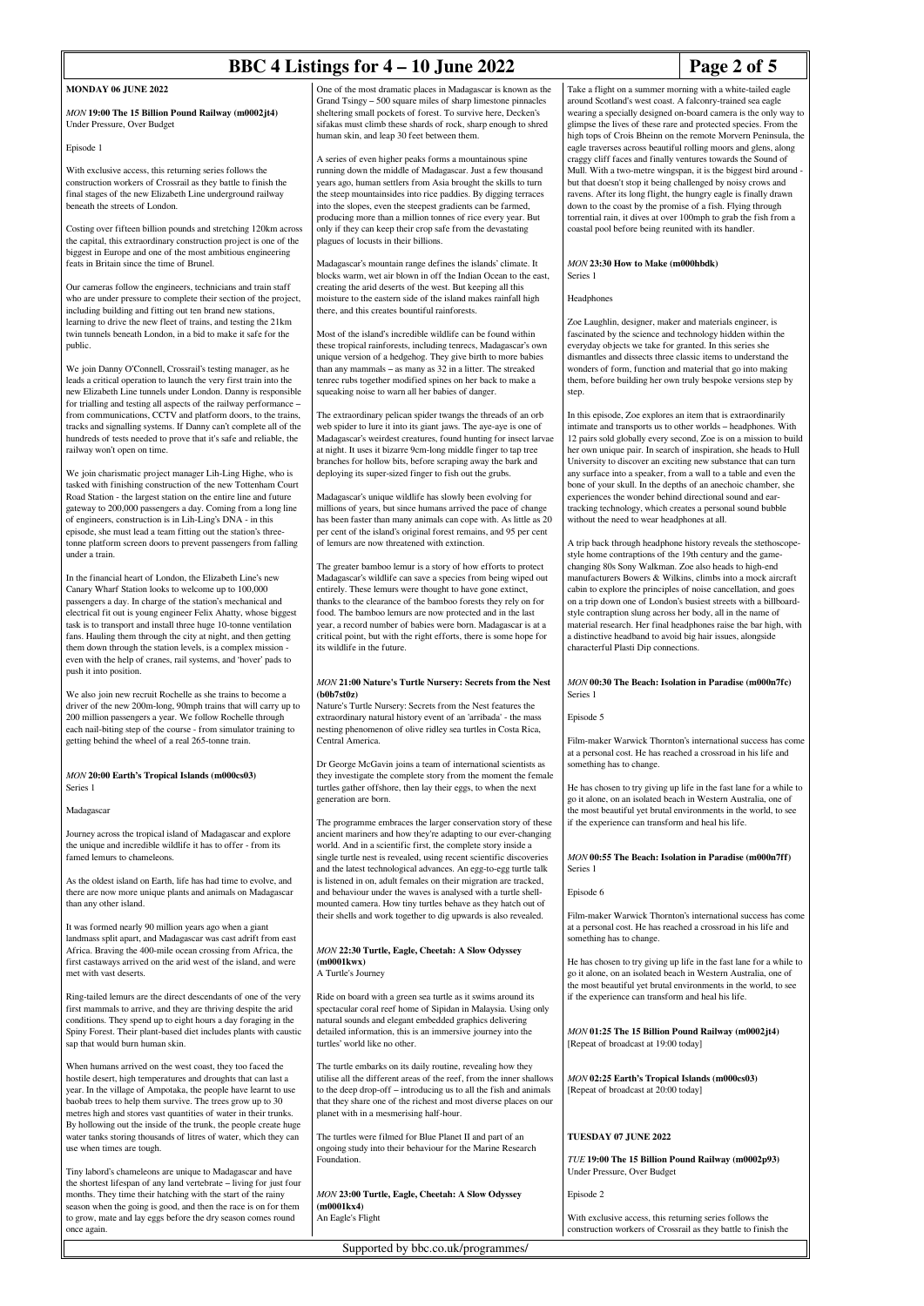# **BBC 4 Listings for 4 – 10 June 2022** Page 2 of 5

## **MONDAY 06 JUNE 2022**

*MON* **19:00 The 15 Billion Pound Railway (m0002jt4)** Under Pressure, Over Budget

### Episode 1

With exclusive access, this returning series follows the construction workers of Crossrail as they battle to finish the final stages of the new Elizabeth Line underground railway beneath the streets of London.

Costing over fifteen billion pounds and stretching 120km across the capital, this extraordinary construction project is one of the biggest in Europe and one of the most ambitious engineering feats in Britain since the time of Brunel.

Our cameras follow the engineers, technicians and train staff who are under pressure to complete their section of the project, including building and fitting out ten brand new station learning to drive the new fleet of trains, and testing the 21km twin tunnels beneath London, in a bid to make it safe for the public.

We join Danny O'Connell, Crossrail's testing manager, as he leads a critical operation to launch the very first train into the new Elizabeth Line tunnels under London. Danny is responsible for trialling and testing all aspects of the railway performance – from communications, CCTV and platform doors, to the trains, tracks and signalling systems. If Danny can't complete all of the hundreds of tests needed to prove that it's safe and reliable, the railway won't open on time.

We join charismatic project manager Lih-Ling Highe, who is tasked with finishing construction of the new Tottenham Court Road Station - the largest station on the entire line and future gateway to 200,000 passengers a day. Coming from a long line of engineers, construction is in Lih-Ling's DNA - in this episode, she must lead a team fitting out the station's threetonne platform screen doors to prevent passengers from falling under a train.

In the financial heart of London, the Elizabeth Line's new Canary Wharf Station looks to welcome up to 100,000 passengers a day. In charge of the station's mechanical and electrical fit out is young engineer Felix Ahatty, whose biggest task is to transport and install three huge 10-tonne ventilation fans. Hauling them through the city at night, and then getting them down through the station levels, is a complex mission even with the help of cranes, rail systems, and 'hover' pads to push it into position.

We also join new recruit Rochelle as she trains to become a driver of the new 200m-long, 90mph trains that will carry up to 200 million passengers a year. We follow Rochelle through each nail-biting step of the course - from simulator training to getting behind the wheel of a real 265-tonne train.

*MON* **20:00 Earth's Tropical Islands (m000cs03)** Series 1

## **Madagascar**

Journey across the tropical island of Madagascar and explore the unique and incredible wildlife it has to offer - from its famed lemurs to chameleons.

As the oldest island on Earth, life has had time to evolve, and there are now more unique plants and animals on Madagascar than any other island.

It was formed nearly 90 million years ago when a giant landmass split apart, and Madagascar was cast adrift from east Africa. Braving the 400-mile ocean crossing from Africa, the first castaways arrived on the arid west of the island, and were met with vast deserts.

Ring-tailed lemurs are the direct descendants of one of the very first mammals to arrive, and they are thriving despite the arid conditions. They spend up to eight hours a day foraging in the Spiny Forest. Their plant-based diet includes plants with caustic sap that would burn human skin.

When humans arrived on the west coast, they too faced the hostile desert, high temperatures and droughts that can last a year. In the village of Ampotaka, the people have learnt to use baobab trees to help them survive. The trees grow up to 30 metres high and stores vast quantities of water in their trunks. By hollowing out the inside of the trunk, the people create huge water tanks storing thousands of litres of water, which they can use when times are tough.

Tiny labord's chameleons are unique to Madagascar and have the shortest lifespan of any land vertebrate – living for just four months. They time their hatching with the start of the rainy season when the going is good, and then the race is on for them to grow, mate and lay eggs before the dry season comes round once again.

One of the most dramatic places in Madagascar is known as the Grand Tsingy – 500 square miles of sharp limestone pinnacles sheltering small pockets of forest. To survive here, Decken's sifakas must climb these shards of rock, sharp enough to shred aman skin, and leap 30 feet between them.

A series of even higher peaks forms a mountainous spine running down the middle of Madagascar. Just a few thousand years ago, human settlers from Asia brought the skills to turn the steep mountainsides into rice paddies. By digging terraces into the slopes, even the steepest gradients can be farmed, producing more than a million tonnes of rice every year. But only if they can keep their crop safe from the devastating plagues of locusts in their billions.

Madagascar's mountain range defines the islands' climate. It blocks warm, wet air blown in off the Indian Ocean to the east, creating the arid deserts of the west. But keeping all th moisture to the eastern side of the island makes rainfall high there, and this creates bountiful rainforests.

Most of the island's incredible wildlife can be found within these tropical rainforests, including tenrecs, Madagascar's own unique version of a hedgehog. They give birth to more babies than any mammals – as many as 32 in a litter. The streaked tenrec rubs together modified spines on her back to make a queaking noise to warn all her babies of danger

The extraordinary pelican spider twangs the threads of an orb web spider to lure it into its giant jaws. The aye-aye is one of Madagascar's weirdest creatures, found hunting for insect larvae at night. It uses it bizarre 9cm-long middle finger to tap tree branches for hollow bits, before scraping away the bark and deploying its super-sized finger to fish out the grubs.

Madagascar's unique wildlife has slowly been evolving for millions of years, but since humans arrived the pace of change has been faster than many animals can cope with. As little as 20 per cent of the island's original forest remains, and 95 per cent of lemurs are now threatened with extinction.

The greater bamboo lemur is a story of how efforts to protect Madagascar's wildlife can save a species from being wiped out entirely. These lemurs were thought to have gone extinct, thanks to the clearance of the bamboo forests they rely on for food. The bamboo lemurs are now protected and in the last year, a record number of babies were born. Madagascar is at a critical point, but with the right efforts, there is some hope for its wildlife in the future.

## *MON* **21:00 Nature's Turtle Nursery: Secrets from the Nest (b0b7st0z)**

Nature's Turtle Nursery: Secrets from the Nest features the extraordinary natural history event of an 'arribada' - the mass nesting phenomenon of olive ridley sea turtles in Costa Rica, Central America.

Dr George McGavin joins a team of international scientists as they investigate the complete story from the moment the female turtles gather offshore, then lay their eggs, to when the next generation are born.

The programme embraces the larger conservation story of these ancient mariners and how they're adapting to our ever-changing world. And in a scientific first, the complete story inside a single turtle nest is revealed, using recent scientific discoveries and the latest technological advances. An egg-to-egg turtle talk is listened in on, adult females on their migration are tracked, and behaviour under the waves is analysed with a turtle shellmounted camera. How tiny turtles behave as they hatch out of their shells and work together to dig upwards is also revealed.

#### *MON* **22:30 Turtle, Eagle, Cheetah: A Slow Odyssey (m0001kwx)** A Turtle's Journey

Ride on board with a green sea turtle as it swims around its spectacular coral reef home of Sipidan in Malaysia. Using only natural sounds and elegant embedded graphics delivering detailed information, this is an immersive journey into the turtles' world like no other.

The turtle embarks on its daily routine, revealing how they utilise all the different areas of the reef, from the inner shallows to the deep drop-off – introducing us to all the fish and animals that they share one of the richest and most diverse places on our planet with in a mesmerising half-hour.

The turtles were filmed for Blue Planet II and part of an ongoing study into their behaviour for the Marine Research Foundation.

*MON* **23:00 Turtle, Eagle, Cheetah: A Slow Odyssey (m0001kx4)** An Eagle's Flight

Take a flight on a summer morning with a white-tailed eagle around Scotland's west coast. A falconry-trained sea eagle wearing a specially designed on-board camera is the only way to glimpse the lives of these rare and protected species. From the high tops of Crois Bheinn on the remote Morvern Peninsula, the eagle traverses across beautiful rolling moors and glens, along craggy cliff faces and finally ventures towards the Sound of Mull. With a two-metre wingspan, it is the biggest bird around but that doesn't stop it being challenged by noisy crows and ravens. After its long flight, the hungry eagle is finally drawn down to the coast by the promise of a fish. Flying through torrential rain, it dives at over 100mph to grab the fish from a coastal pool before being reunited with its handler.

#### *MON* **23:30 How to Make (m000hbdk)** Series 1

## Headphones

Zoe Laughlin, designer, maker and materials engineer, is fascinated by the science and technology hidden within the everyday objects we take for granted. In this series she dismantles and dissects three classic items to understand the wonders of form, function and material that go into making them, before building her own truly bespoke versions step by step.

In this episode, Zoe explores an item that is extraordinarily intimate and transports us to other worlds – headphones. With 12 pairs sold globally every second, Zoe is on a mission to build her own unique pair. In search of inspiration, she heads to Hull University to discover an exciting new substance that can turn any surface into a speaker, from a wall to a table and even the bone of your skull. In the depths of an anechoic chamber, she experiences the wonder behind directional sound and eartracking technology, which creates a personal sound bubble without the need to wear headphones at all.

A trip back through headphone history reveals the stethoscopestyle home contraptions of the 19th century and the gamechanging 80s Sony Walkman. Zoe also heads to high-end manufacturers Bowers & Wilkins, climbs into a mock aircraft cabin to explore the principles of noise cancellation, and goes on a trip down one of London's busiest streets with a billboardstyle contraption slung across her body, all in the name of material research. Her final headphones raise the bar high, with a distinctive headband to avoid big hair issues, alongside characterful Plasti Dip connections.

## *MON* **00:30 The Beach: Isolation in Paradise (m000n7fc)** Series 1

Episode 5

Film-maker Warwick Thornton's international success has comat a personal cost. He has reached a crossroad in his life and something has to change.

He has chosen to try giving up life in the fast lane for a while to go it alone, on an isolated beach in Western Australia, one of the most beautiful yet brutal environments in the world, to see if the experience can transform and heal his life.

## *MON* **00:55 The Beach: Isolation in Paradise (m000n7ff)** Series 1

Episode 6

Film-maker Warwick Thornton's international success has come at a personal cost. He has reached a crossroad in his life and something has to change.

He has chosen to try giving up life in the fast lane for a while to go it alone, on an isolated beach in Western Australia, one of the most beautiful yet brutal environments in the world, to see if the experience can transform and heal his life.

*MON* **01:25 The 15 Billion Pound Railway (m0002jt4)** [Repeat of broadcast at 19:00 today]

*MON* **02:25 Earth's Tropical Islands (m000cs03)** [Repeat of broadcast at 20:00 today]

## **TUESDAY 07 JUNE 2022**

*TUE* **19:00 The 15 Billion Pound Railway (m0002p93)** Under Pressure, Over Budget

Episode 2

With exclusive access, this returning series follows the construction workers of Crossrail as they battle to finish the

Supported by bbc.co.uk/programmes/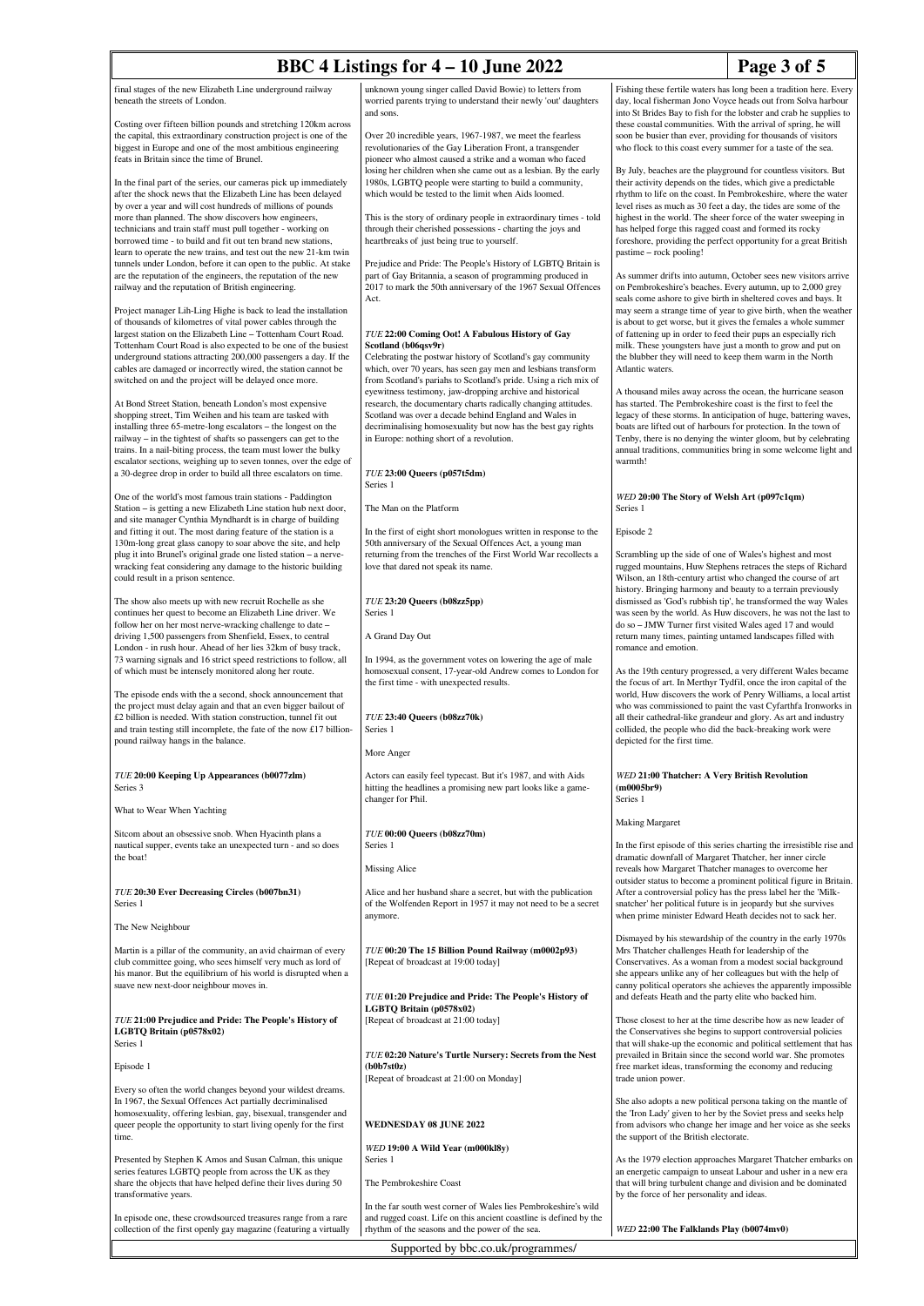# **BBC 4 Listings for 4 – 10 June 2022** Page 3 of 5

final stages of the new Elizabeth Line underground railway beneath the streets of London.

Costing over fifteen billion pounds and stretching 120km across the capital, this extraordinary construction project is one of the biggest in Europe and one of the most ambitious engineering feats in Britain since the time of Brunel.

In the final part of the series, our cameras pick up immediately after the shock news that the Elizabeth Line has been delayed by over a year and will cost hundreds of millions of pounds more than planned. The show discovers how engineers, technicians and train staff must pull together - working on borrowed time - to build and fit out ten brand new stations, learn to operate the new trains, and test out the new 21-km twin tunnels under London, before it can open to the public. At stake are the reputation of the engineers, the reputation of the new railway and the reputation of British engineering.

Project manager Lih-Ling Highe is back to lead the installation of thousands of kilometres of vital power cables through the largest station on the Elizabeth Line – Tottenham Court Road. Tottenham Court Road is also expected to be one of the busiest underground stations attracting 200,000 passengers a day. If the cables are damaged or incorrectly wired, the station cannot be switched on and the project will be delayed once more.

At Bond Street Station, beneath London's most expensive shopping street, Tim Weihen and his team are tasked with installing three 65-metre-long escalators – the longest on the railway – in the tightest of shafts so passengers can get to the trains. In a nail-biting process, the team must lower the bulky escalator sections, weighing up to seven tonnes, over the edge of a 30-degree drop in order to build all three escalators on time.

One of the world's most famous train stations - Paddington Station – is getting a new Elizabeth Line station hub next door, and site manager Cynthia Myndhardt is in charge of building and fitting it out. The most daring feature of the station is a 130m-long great glass canopy to soar above the site, and help plug it into Brunel's original grade one listed station – a nervewracking feat considering any damage to the historic building could result in a prison sentence.

The show also meets up with new recruit Rochelle as she continues her quest to become an Elizabeth Line driver. We follow her on her most nerve-wracking challenge to date driving 1,500 passengers from Shenfield, Essex, to central London - in rush hour. Ahead of her lies 32km of busy track, 73 warning signals and 16 strict speed restrictions to follow, all of which must be intensely monitored along her route.

The episode ends with the a second, shock announcement that the project must delay again and that an even bigger bailout of £2 billion is needed. With station construction, tunnel fit out and train testing still incomplete, the fate of the now £17 billionpound railway hangs in the balance.

*TUE* **20:00 Keeping Up Appearances (b0077zlm)** Series 3

What to Wear When Yachting

Sitcom about an obsessive snob. When Hyacinth plans a nautical supper, events take an unexpected turn - and so does the boat!

*TUE* **20:30 Ever Decreasing Circles (b007bn31)** Series 1

The New Neighbour

Martin is a pillar of the community, an avid chairman of every club committee going, who sees himself very much as lord of his manor. But the equilibrium of his world is disrupted when a suave new next-door neighbour moves in.

*TUE* **21:00 Prejudice and Pride: The People's History of LGBTQ Britain (p0578x02)** Series 1

Episode 1

Every so often the world changes beyond your wildest dreams. In 1967, the Sexual Offences Act partially decriminalised homosexuality, offering lesbian, gay, bisexual, transgender and queer people the opportunity to start living openly for the first time.

Presented by Stephen K Amos and Susan Calman, this unique series features LGBTQ people from across the UK as they share the objects that have helped define their lives during 50 transformative years.

In episode one, these crowdsourced treasures range from a rare collection of the first openly gay magazine (featuring a virtually unknown young singer called David Bowie) to letters from worried parents trying to understand their newly 'out' daughters and sons.

Over 20 incredible years, 1967-1987, we meet the fearless revolutionaries of the Gay Liberation Front, a transgender pioneer who almost caused a strike and a woman who faced losing her children when she came out as a lesbian. By the early 1980s, LGBTQ people were starting to build a community, which would be tested to the limit when Aids loomed.

This is the story of ordinary people in extraordinary times - told through their cherished possessions - charting the joys and heartbreaks of just being true to yourself.

Prejudice and Pride: The People's History of LGBTQ Britain is part of Gay Britannia, a season of programming produced in 2017 to mark the 50th anniversary of the 1967 Sexual Offences Act.

## *TUE* **22:00 Coming Oot! A Fabulous History of Gay Scotland (b06qsv9r)**

Celebrating the postwar history of Scotland's gay community which, over 70 years, has seen gay men and lesbians transform from Scotland's pariahs to Scotland's pride. Using a rich mix of eyewitness testimony, jaw-dropping archive and historical research, the documentary charts radically changing attitudes. Scotland was over a decade behind England and Wales in decriminalising homosexuality but now has the best gay rights in Europe: nothing short of a revolution.

*TUE* **23:00 Queers (p057t5dm)** Series 1

The Man on the Platform

In the first of eight short monologues written in response to the 50th anniversary of the Sexual Offences Act, a young man returning from the trenches of the First World War recollects a love that dared not speak its name.

*TUE* **23:20 Queers (b08zz5pp)** Series 1

A Grand Day Out

In 1994, as the government votes on lowering the age of male homosexual consent, 17-year-old Andrew comes to London for the first time - with unexpected results.

*TUE* **23:40 Queers (b08zz70k)** Series 1

More Anger

Actors can easily feel typecast. But it's 1987, and with Aids hitting the headlines a promising new part looks like a gamechanger for Phil.

*TUE* **00:00 Queers (b08zz70m)** Series 1

Missing Alice

Alice and her husband share a secret, but with the publication of the Wolfenden Report in 1957 it may not need to be a secret anymore.

*TUE* **00:20 The 15 Billion Pound Railway (m0002p93)** [Repeat of broadcast at 19:00 today]

*TUE* **01:20 Prejudice and Pride: The People's History of LGBTQ Britain (p0578x02)** [Repeat of broadcast at 21:00 today]

*TUE* **02:20 Nature's Turtle Nursery: Secrets from the Nest (b0b7st0z)** [Repeat of broadcast at 21:00 on Monday]

**WEDNESDAY 08 JUNE 2022**

*WED* **19:00 A Wild Year (m000kl8y)** Series 1

The Pembrokeshire Coast

In the far south west corner of Wales lies Pembrokeshire's wild and rugged coast. Life on this ancient coastline is defined by the rhythm of the seasons and the power of the sea.

Supported by bbc.co.uk/programmes/

Fishing these fertile waters has long been a tradition here. Every day, local fisherman Jono Voyce heads out from Solva harbour into St Brides Bay to fish for the lobster and crab he supplies to these coastal communities. With the arrival of spring, he will soon be busier than ever, providing for thousands of visitors who flock to this coast every summer for a taste of the sea.

By July, beaches are the playground for countless visitors. But their activity depends on the tides, which give a predictable rhythm to life on the coast. In Pembrokeshire, where the water level rises as much as 30 feet a day, the tides are some of the highest in the world. The sheer force of the water sweeping in has helped forge this ragged coast and formed its rocky foreshore, providing the perfect opportunity for a great British pastime – rock pooling!

As summer drifts into autumn, October sees new visitors arrive on Pembrokeshire's beaches. Every autumn, up to 2,000 grey seals come ashore to give birth in sheltered coves and bays. It may seem a strange time of year to give birth, when the weather is about to get worse, but it gives the females a whole summer of fattening up in order to feed their pups an especially rich milk. These youngsters have just a month to grow and put on the blubber they will need to keep them warm in the North Atlantic waters.

A thousand miles away across the ocean, the hurricane season has started. The Pembrokeshire coast is the first to feel the legacy of these storms. In anticipation of huge, battering waves, boats are lifted out of harbours for protection. In the town of Tenby, there is no denying the winter gloom, but by celebrating annual traditions, communities bring in some welcome light and warmth!

*WED* **20:00 The Story of Welsh Art (p097c1qm)** Series 1

Episode 2

Scrambling up the side of one of Wales's highest and most rugged mountains, Huw Stephens retraces the steps of Richard Wilson, an 18th-century artist who changed the course of art history. Bringing harmony and beauty to a terrain previously dismissed as 'God's rubbish tip', he transformed the way Wales was seen by the world. As Huw discovers, he was not the last to do so – JMW Turner first visited Wales aged 17 and would return many times, painting untamed landscapes filled with romance and emotion.

As the 19th century progressed, a very different Wales became the focus of art. In Merthyr Tydfil, once the iron capital of the world, Huw discovers the work of Penry Williams, a local artist who was commissioned to paint the vast Cyfarthfa Ironworks in all their cathedral-like grandeur and glory. As art and industry collided, the people who did the back-breaking work were depicted for the first time.

*WED* **21:00 Thatcher: A Very British Revolution (m0005br9)** Series 1

Making Margaret

In the first episode of this series charting the irresistible rise and dramatic downfall of Margaret Thatcher, her inner circle reveals how Margaret Thatcher manages to overcome her outsider status to become a prominent political figure in Britain. After a controversial policy has the press label her the 'Milksnatcher' her political future is in jeopardy but she survives when prime minister Edward Heath decides not to sack her.

Dismayed by his stewardship of the country in the early 1970s Mrs Thatcher challenges Heath for leadership of the **Conservatives.** As a woman from a modest social background she appears unlike any of her colleagues but with the help of canny political operators she achieves the apparently impossible and defeats Heath and the party elite who backed him.

Those closest to her at the time describe how as new leader of the Conservatives she begins to support controversial policies that will shake-up the economic and political settlement that has prevailed in Britain since the second world war. She promotes free market ideas, transforming the economy and reducing trade union power.

She also adopts a new political persona taking on the mantle of the 'Iron Lady' given to her by the Soviet press and seeks help from advisors who change her image and her voice as she seeks the support of the British electorate.

As the 1979 election approaches Margaret Thatcher embarks on an energetic campaign to unseat Labour and usher in a new era that will bring turbulent change and division and be dominated by the force of her personality and ideas.

*WED* **22:00 The Falklands Play (b0074mv0)**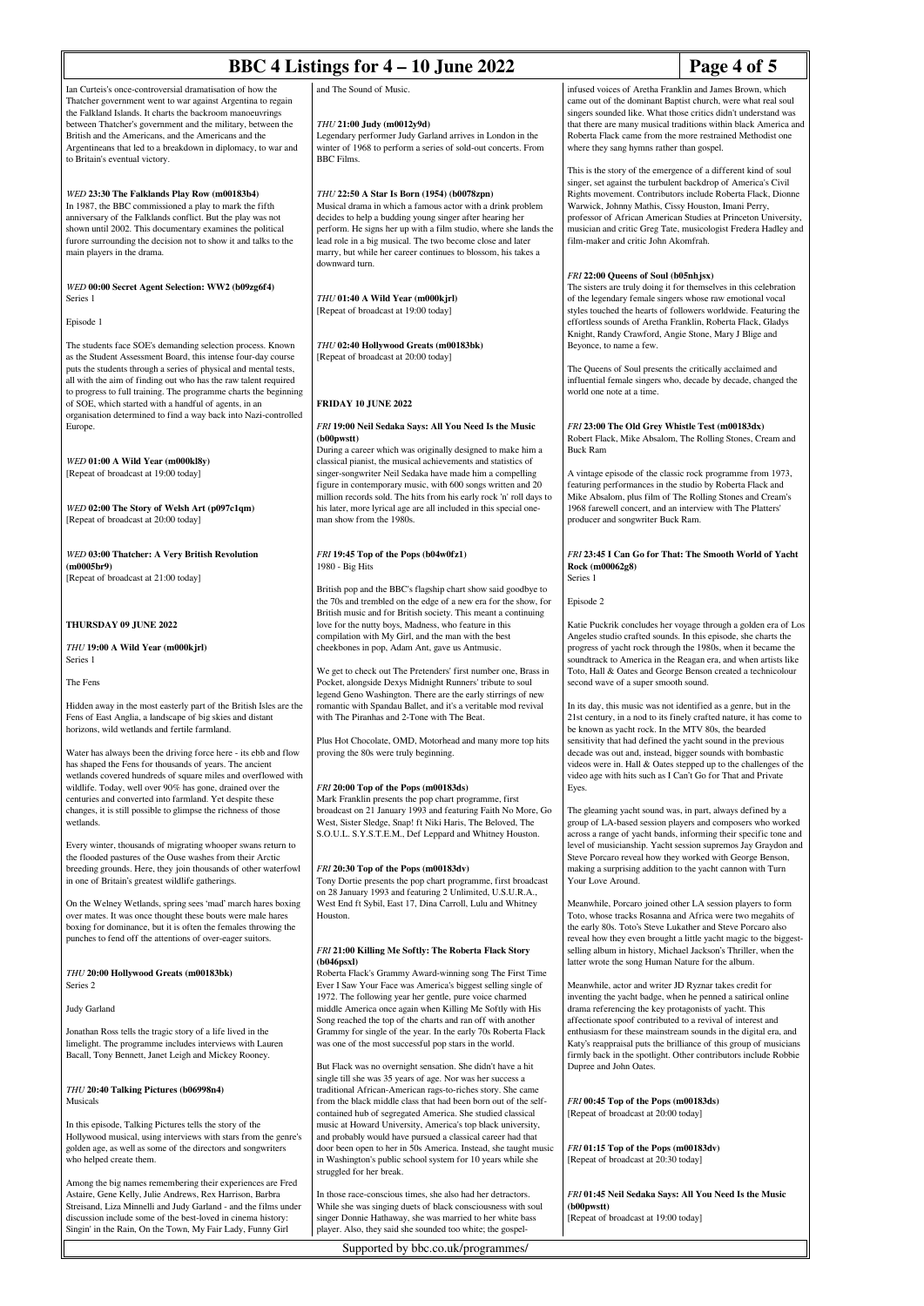| <b>BBC 4 Listings for 4 – 10 June 2022</b>                                                                                                                                                                                                                                                                                                                                                                                                                         |                                                                                                                                                                                                                                                                                                                                                                                                                | Page 4 of 5                                                                                                                                                                                                                                                                                                                                                                                                                                                                                                                                                                                                                                                                                                                                                                                                  |  |
|--------------------------------------------------------------------------------------------------------------------------------------------------------------------------------------------------------------------------------------------------------------------------------------------------------------------------------------------------------------------------------------------------------------------------------------------------------------------|----------------------------------------------------------------------------------------------------------------------------------------------------------------------------------------------------------------------------------------------------------------------------------------------------------------------------------------------------------------------------------------------------------------|--------------------------------------------------------------------------------------------------------------------------------------------------------------------------------------------------------------------------------------------------------------------------------------------------------------------------------------------------------------------------------------------------------------------------------------------------------------------------------------------------------------------------------------------------------------------------------------------------------------------------------------------------------------------------------------------------------------------------------------------------------------------------------------------------------------|--|
| Ian Curteis's once-controversial dramatisation of how the<br>Thatcher government went to war against Argentina to regain<br>the Falkland Islands. It charts the backroom manoeuvrings<br>between Thatcher's government and the military, between the<br>British and the Americans, and the Americans and the<br>Argentineans that led to a breakdown in diplomacy, to war and                                                                                      | and The Sound of Music.<br>THU 21:00 Judy (m0012y9d)<br>Legendary performer Judy Garland arrives in London in the<br>winter of 1968 to perform a series of sold-out concerts. From                                                                                                                                                                                                                             | infused voices of Aretha Franklin and James Brown, which<br>came out of the dominant Baptist church, were what real soul<br>singers sounded like. What those critics didn't understand was<br>that there are many musical traditions within black America and<br>Roberta Flack came from the more restrained Methodist one<br>where they sang hymns rather than gospel.<br>This is the story of the emergence of a different kind of soul<br>singer, set against the turbulent backdrop of America's Civil<br>Rights movement. Contributors include Roberta Flack, Dionne<br>Warwick, Johnny Mathis, Cissy Houston, Imani Perry,<br>professor of African American Studies at Princeton University,<br>musician and critic Greg Tate, musicologist Fredera Hadley and<br>film-maker and critic John Akomfrah. |  |
| to Britain's eventual victory.<br>WED 23:30 The Falklands Play Row (m00183b4)<br>In 1987, the BBC commissioned a play to mark the fifth<br>anniversary of the Falklands conflict. But the play was not<br>shown until 2002. This documentary examines the political<br>furore surrounding the decision not to show it and talks to the<br>main players in the drama.                                                                                               | <b>BBC</b> Films.<br>THU 22:50 A Star Is Born (1954) (b0078zpn)<br>Musical drama in which a famous actor with a drink problem<br>decides to help a budding young singer after hearing her<br>perform. He signs her up with a film studio, where she lands the<br>lead role in a big musical. The two become close and later<br>marry, but while her career continues to blossom, his takes a<br>downward turn. |                                                                                                                                                                                                                                                                                                                                                                                                                                                                                                                                                                                                                                                                                                                                                                                                              |  |
| WED 00:00 Secret Agent Selection: WW2 (b09zg6f4)<br>Series 1<br>Episode 1                                                                                                                                                                                                                                                                                                                                                                                          | THU 01:40 A Wild Year (m000kjrl)<br>[Repeat of broadcast at 19:00 today]                                                                                                                                                                                                                                                                                                                                       | FRI 22:00 Queens of Soul (b05nhjsx)<br>The sisters are truly doing it for themselves in this celebration<br>of the legendary female singers whose raw emotional vocal<br>styles touched the hearts of followers worldwide. Featuring the<br>effortless sounds of Aretha Franklin, Roberta Flack, Gladys<br>Knight, Randy Crawford, Angie Stone, Mary J Blige and                                                                                                                                                                                                                                                                                                                                                                                                                                             |  |
| The students face SOE's demanding selection process. Known<br>as the Student Assessment Board, this intense four-day course<br>puts the students through a series of physical and mental tests,<br>all with the aim of finding out who has the raw talent required<br>to progress to full training. The programme charts the beginning<br>of SOE, which started with a handful of agents, in an<br>organisation determined to find a way back into Nazi-controlled | THU 02:40 Hollywood Greats (m00183bk)<br>[Repeat of broadcast at 20:00 today]<br><b>FRIDAY 10 JUNE 2022</b>                                                                                                                                                                                                                                                                                                    | Beyonce, to name a few.<br>The Queens of Soul presents the critically acclaimed and<br>influential female singers who, decade by decade, changed the<br>world one note at a time.                                                                                                                                                                                                                                                                                                                                                                                                                                                                                                                                                                                                                            |  |
| Europe.<br>WED 01:00 A Wild Year (m000kl8y)<br>[Repeat of broadcast at 19:00 today]                                                                                                                                                                                                                                                                                                                                                                                | FRI 19:00 Neil Sedaka Says: All You Need Is the Music<br>$(b00)$ pwstt $)$<br>During a career which was originally designed to make him a<br>classical pianist, the musical achievements and statistics of<br>singer-songwriter Neil Sedaka have made him a compelling<br>figure in contemporary music, with 600 songs written and 20                                                                          | FRI 23:00 The Old Grey Whistle Test (m00183dx)<br>Robert Flack, Mike Absalom, The Rolling Stones, Cream and<br><b>Buck Ram</b><br>A vintage episode of the classic rock programme from 1973,<br>featuring performances in the studio by Roberta Flack and                                                                                                                                                                                                                                                                                                                                                                                                                                                                                                                                                    |  |
| WED 02:00 The Story of Welsh Art (p097c1qm)<br>[Repeat of broadcast at 20:00 today]                                                                                                                                                                                                                                                                                                                                                                                | million records sold. The hits from his early rock 'n' roll days to<br>his later, more lyrical age are all included in this special one-<br>man show from the 1980s.                                                                                                                                                                                                                                           | Mike Absalom, plus film of The Rolling Stones and Cream's<br>1968 farewell concert, and an interview with The Platters'<br>producer and songwriter Buck Ram.                                                                                                                                                                                                                                                                                                                                                                                                                                                                                                                                                                                                                                                 |  |
| WED 03:00 Thatcher: A Very British Revolution<br>(m0005br9)<br>[Repeat of broadcast at 21:00 today]                                                                                                                                                                                                                                                                                                                                                                | FRI 19:45 Top of the Pops (b04w0fz1)<br>1980 - Big Hits<br>British pop and the BBC's flagship chart show said goodbye to                                                                                                                                                                                                                                                                                       | FRI 23:45 I Can Go for That: The Smooth World of Yacht<br>Rock (m00062g8)<br>Series 1                                                                                                                                                                                                                                                                                                                                                                                                                                                                                                                                                                                                                                                                                                                        |  |
| <b>THURSDAY 09 JUNE 2022</b><br>THU 19:00 A Wild Year (m000kjrl)<br>Series 1                                                                                                                                                                                                                                                                                                                                                                                       | the 70s and trembled on the edge of a new era for the show, for<br>British music and for British society. This meant a continuing<br>love for the nutty boys, Madness, who feature in this<br>compilation with My Girl, and the man with the best<br>cheekbones in pop, Adam Ant, gave us Antmusic.                                                                                                            | Episode 2<br>Katie Puckrik concludes her voyage through a golden era of Los<br>Angeles studio crafted sounds. In this episode, she charts the<br>progress of yacht rock through the 1980s, when it became the                                                                                                                                                                                                                                                                                                                                                                                                                                                                                                                                                                                                |  |
| The Fens<br>Hidden away in the most easterly part of the British Isles are the                                                                                                                                                                                                                                                                                                                                                                                     | We get to check out The Pretenders' first number one, Brass in<br>Pocket, alongside Dexys Midnight Runners' tribute to soul<br>legend Geno Washington. There are the early stirrings of new<br>romantic with Spandau Ballet, and it's a veritable mod revival                                                                                                                                                  | soundtrack to America in the Reagan era, and when artists like<br>Toto, Hall & Oates and George Benson created a technicolour<br>second wave of a super smooth sound.<br>In its day, this music was not identified as a genre, but in the                                                                                                                                                                                                                                                                                                                                                                                                                                                                                                                                                                    |  |
| Fens of East Anglia, a landscape of big skies and distant<br>horizons, wild wetlands and fertile farmland.<br>Water has always been the driving force here - its ebb and flow<br>has shaped the Fens for thousands of years. The ancient                                                                                                                                                                                                                           | with The Piranhas and 2-Tone with The Beat.<br>Plus Hot Chocolate, OMD, Motorhead and many more top hits<br>proving the 80s were truly beginning.                                                                                                                                                                                                                                                              | 21st century, in a nod to its finely crafted nature, it has come to<br>be known as yacht rock. In the MTV 80s, the bearded<br>sensitivity that had defined the yacht sound in the previous<br>decade was out and, instead, bigger sounds with bombastic<br>videos were in. Hall & Oates stepped up to the challenges of the                                                                                                                                                                                                                                                                                                                                                                                                                                                                                  |  |
| wetlands covered hundreds of square miles and overflowed with<br>wildlife. Today, well over 90% has gone, drained over the<br>centuries and converted into farmland. Yet despite these<br>changes, it is still possible to glimpse the richness of those<br>wetlands.                                                                                                                                                                                              | FRI 20:00 Top of the Pops (m00183ds)<br>Mark Franklin presents the pop chart programme, first<br>broadcast on 21 January 1993 and featuring Faith No More, Go<br>West, Sister Sledge, Snap! ft Niki Haris, The Beloved, The<br>S.O.U.L. S.Y.S.T.E.M., Def Leppard and Whitney Houston.                                                                                                                         | video age with hits such as I Can't Go for That and Private<br>Eyes.<br>The gleaming yacht sound was, in part, always defined by a<br>group of LA-based session players and composers who worked<br>across a range of yacht bands, informing their specific tone and                                                                                                                                                                                                                                                                                                                                                                                                                                                                                                                                         |  |
| Every winter, thousands of migrating whooper swans return to<br>the flooded pastures of the Ouse washes from their Arctic<br>breeding grounds. Here, they join thousands of other waterfowl<br>in one of Britain's greatest wildlife gatherings.<br>On the Welney Wetlands, spring sees 'mad' march hares boxing                                                                                                                                                   | FRI 20:30 Top of the Pops (m00183dv)<br>Tony Dortie presents the pop chart programme, first broadcast<br>on 28 January 1993 and featuring 2 Unlimited, U.S.U.R.A.,<br>West End ft Sybil, East 17, Dina Carroll, Lulu and Whitney                                                                                                                                                                               | level of musicianship. Yacht session supremos Jay Graydon and<br>Steve Porcaro reveal how they worked with George Benson,<br>making a surprising addition to the yacht cannon with Turn<br>Your Love Around.<br>Meanwhile, Porcaro joined other LA session players to form                                                                                                                                                                                                                                                                                                                                                                                                                                                                                                                                   |  |
| over mates. It was once thought these bouts were male hares<br>boxing for dominance, but it is often the females throwing the<br>punches to fend off the attentions of over-eager suitors.                                                                                                                                                                                                                                                                         | Houston.<br>FRI 21:00 Killing Me Softly: The Roberta Flack Story<br>$(b046$ psxl $)$                                                                                                                                                                                                                                                                                                                           | Toto, whose tracks Rosanna and Africa were two megahits of<br>the early 80s. Toto's Steve Lukather and Steve Porcaro also<br>reveal how they even brought a little yacht magic to the biggest-<br>selling album in history, Michael Jackson's Thriller, when the<br>latter wrote the song Human Nature for the album.                                                                                                                                                                                                                                                                                                                                                                                                                                                                                        |  |
| THU 20:00 Hollywood Greats (m00183bk)<br>Series <sub>2</sub><br><b>Judy Garland</b>                                                                                                                                                                                                                                                                                                                                                                                | Roberta Flack's Grammy Award-winning song The First Time<br>Ever I Saw Your Face was America's biggest selling single of<br>1972. The following year her gentle, pure voice charmed<br>middle America once again when Killing Me Softly with His                                                                                                                                                               | Meanwhile, actor and writer JD Ryznar takes credit for<br>inventing the yacht badge, when he penned a satirical online                                                                                                                                                                                                                                                                                                                                                                                                                                                                                                                                                                                                                                                                                       |  |
| Jonathan Ross tells the tragic story of a life lived in the<br>limelight. The programme includes interviews with Lauren<br>Bacall, Tony Bennett, Janet Leigh and Mickey Rooney.                                                                                                                                                                                                                                                                                    | Song reached the top of the charts and ran off with another<br>Grammy for single of the year. In the early 70s Roberta Flack<br>was one of the most successful pop stars in the world.<br>But Flack was no overnight sensation. She didn't have a hit                                                                                                                                                          | drama referencing the key protagonists of yacht. This<br>affectionate spoof contributed to a revival of interest and<br>enthusiasm for these mainstream sounds in the digital era, and<br>Katy's reappraisal puts the brilliance of this group of musicians<br>firmly back in the spotlight. Other contributors include Robbie<br>Dupree and John Oates.                                                                                                                                                                                                                                                                                                                                                                                                                                                     |  |
| THU 20:40 Talking Pictures (b06998n4)<br>Musicals<br>In this episode, Talking Pictures tells the story of the                                                                                                                                                                                                                                                                                                                                                      | single till she was 35 years of age. Nor was her success a<br>traditional African-American rags-to-riches story. She came<br>from the black middle class that had been born out of the self-<br>contained hub of segregated America. She studied classical<br>music at Howard University, America's top black university,                                                                                      | FRI 00:45 Top of the Pops (m00183ds)<br>[Repeat of broadcast at 20:00 today]                                                                                                                                                                                                                                                                                                                                                                                                                                                                                                                                                                                                                                                                                                                                 |  |
| Hollywood musical, using interviews with stars from the genre's<br>golden age, as well as some of the directors and songwriters<br>who helped create them.                                                                                                                                                                                                                                                                                                         | and probably would have pursued a classical career had that<br>door been open to her in 50s America. Instead, she taught music<br>in Washington's public school system for 10 years while she<br>struggled for her break.                                                                                                                                                                                      | FRI 01:15 Top of the Pops (m00183dv)<br>[Repeat of broadcast at 20:30 today]                                                                                                                                                                                                                                                                                                                                                                                                                                                                                                                                                                                                                                                                                                                                 |  |
| Among the big names remembering their experiences are Fred<br>Astaire, Gene Kelly, Julie Andrews, Rex Harrison, Barbra<br>Streisand, Liza Minnelli and Judy Garland - and the films under<br>discussion include some of the best-loved in cinema history:<br>Singin' in the Rain, On the Town, My Fair Lady, Funny Girl                                                                                                                                            | In those race-conscious times, she also had her detractors.<br>While she was singing duets of black consciousness with soul<br>singer Donnie Hathaway, she was married to her white bass<br>player. Also, they said she sounded too white; the gospel-                                                                                                                                                         | FRI 01:45 Neil Sedaka Says: All You Need Is the Music<br>(b00pwstt)<br>[Repeat of broadcast at 19:00 today]                                                                                                                                                                                                                                                                                                                                                                                                                                                                                                                                                                                                                                                                                                  |  |

Supported by bbc.co.uk/programmes/